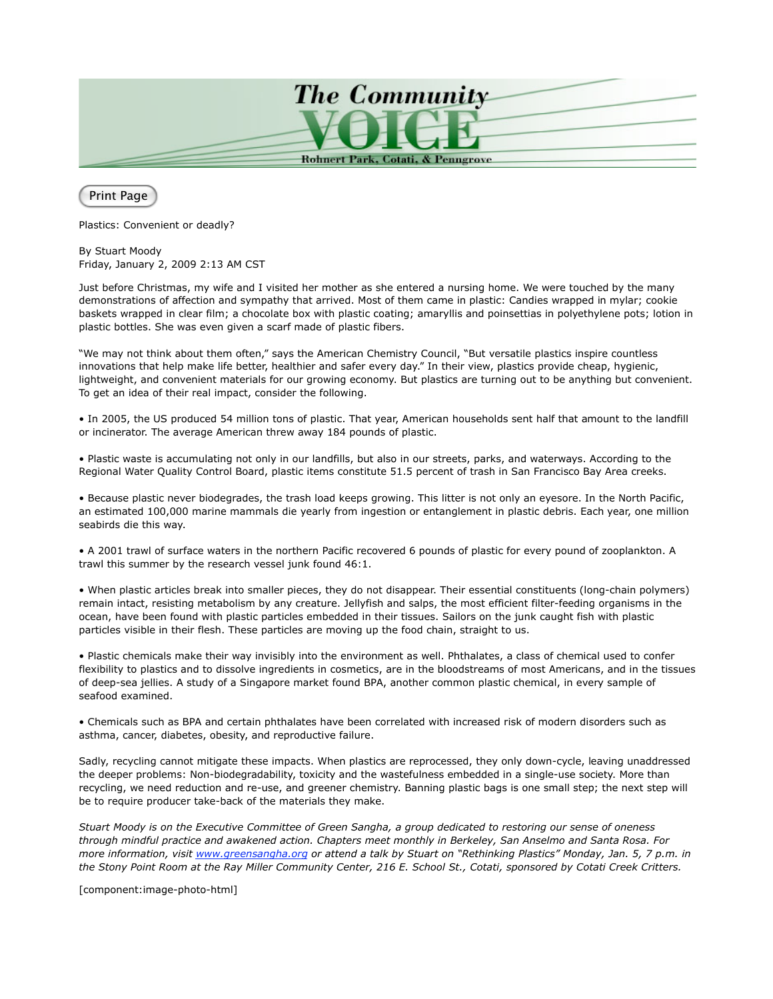

Print Page

Plastics: Convenient or deadly?

By Stuart Moody Friday, January 2, 2009 2:13 AM CST

Just before Christmas, my wife and I visited her mother as she entered a nursing home. We were touched by the many demonstrations of affection and sympathy that arrived. Most of them came in plastic: Candies wrapped in mylar; cookie baskets wrapped in clear film; a chocolate box with plastic coating; amaryllis and poinsettias in polyethylene pots; lotion in plastic bottles. She was even given a scarf made of plastic fibers.

"We may not think about them often," says the American Chemistry Council, "But versatile plastics inspire countless innovations that help make life better, healthier and safer every day." In their view, plastics provide cheap, hygienic, lightweight, and convenient materials for our growing economy. But plastics are turning out to be anything but convenient. To get an idea of their real impact, consider the following.

• In 2005, the US produced 54 million tons of plastic. That year, American households sent half that amount to the landfill or incinerator. The average American threw away 184 pounds of plastic.

• Plastic waste is accumulating not only in our landfills, but also in our streets, parks, and waterways. According to the Regional Water Quality Control Board, plastic items constitute 51.5 percent of trash in San Francisco Bay Area creeks.

• Because plastic never biodegrades, the trash load keeps growing. This litter is not only an eyesore. In the North Pacific, an estimated 100,000 marine mammals die yearly from ingestion or entanglement in plastic debris. Each year, one million seabirds die this way.

• A 2001 trawl of surface waters in the northern Pacific recovered 6 pounds of plastic for every pound of zooplankton. A trawl this summer by the research vessel junk found 46:1.

• When plastic articles break into smaller pieces, they do not disappear. Their essential constituents (long-chain polymers) remain intact, resisting metabolism by any creature. Jellyfish and salps, the most efficient filter-feeding organisms in the ocean, have been found with plastic particles embedded in their tissues. Sailors on the junk caught fish with plastic particles visible in their flesh. These particles are moving up the food chain, straight to us.

• Plastic chemicals make their way invisibly into the environment as well. Phthalates, a class of chemical used to confer flexibility to plastics and to dissolve ingredients in cosmetics, are in the bloodstreams of most Americans, and in the tissues of deep-sea jellies. A study of a Singapore market found BPA, another common plastic chemical, in every sample of seafood examined.

• Chemicals such as BPA and certain phthalates have been correlated with increased risk of modern disorders such as asthma, cancer, diabetes, obesity, and reproductive failure.

Sadly, recycling cannot mitigate these impacts. When plastics are reprocessed, they only down-cycle, leaving unaddressed the deeper problems: Non-biodegradability, toxicity and the wastefulness embedded in a single-use society. More than recycling, we need reduction and re-use, and greener chemistry. Banning plastic bags is one small step; the next step will be to require producer take-back of the materials they make.

*Stuart Moody is on the Executive Committee of Green Sangha, a group dedicated to restoring our sense of oneness through mindful practice and awakened action. Chapters meet monthly in Berkeley, San Anselmo and Santa Rosa. For more information, visit www.greensangha.org or attend a talk by Stuart on "Rethinking Plastics" Monday, Jan. 5, 7 p.m. in the Stony Point Room at the Ray Miller Community Center, 216 E. School St., Cotati, sponsored by Cotati Creek Critters.*

[component:image-photo-html]